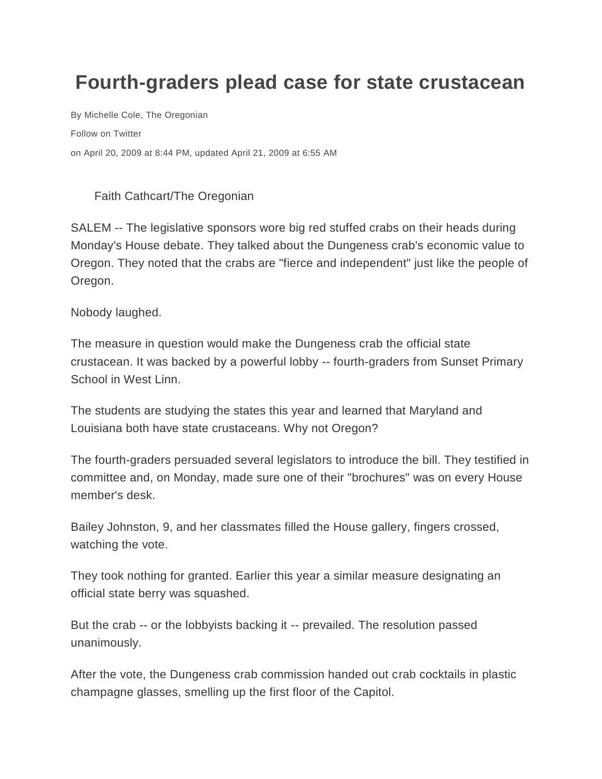## **Fourth-graders plead case for state crustacean**

By [Michelle Cole, The Oregonian](http://connect.oregonlive.com/user/mcole/posts.html)  [Follow on Twitter](http://twitter.com/michellercole) on April 20, 2009 at 8:44 PM, updated April 21, 2009 at 6:55 AM

## Faith Cathcart/The Oregonian

SALEM -- The legislative sponsors wore big red stuffed crabs on their heads during Monday's House debate. They talked about the Dungeness crab's economic value to Oregon. They noted that the crabs are "fierce and independent" just like the people of Oregon.

Nobody laughed.

The measure in question would make the Dungeness crab the official state crustacean. It was backed by a powerful lobby -- fourth-graders from Sunset Primary School in West Linn.

The students are studying the states this year and learned that Maryland and Louisiana both have state crustaceans. Why not Oregon?

The fourth-graders persuaded several legislators to introduce the bill. They testified in committee and, on Monday, made sure one of their "brochures" was on every House member's desk.

Bailey Johnston, 9, and her classmates filled the House gallery, fingers crossed, watching the vote.

They took nothing for granted. Earlier this year a similar measure designating an official state berry was squashed.

But the crab -- or the lobbyists backing it -- prevailed. The resolution passed unanimously.

After the vote, the Dungeness crab commission handed out crab cocktails in plastic champagne glasses, smelling up the first floor of the Capitol.